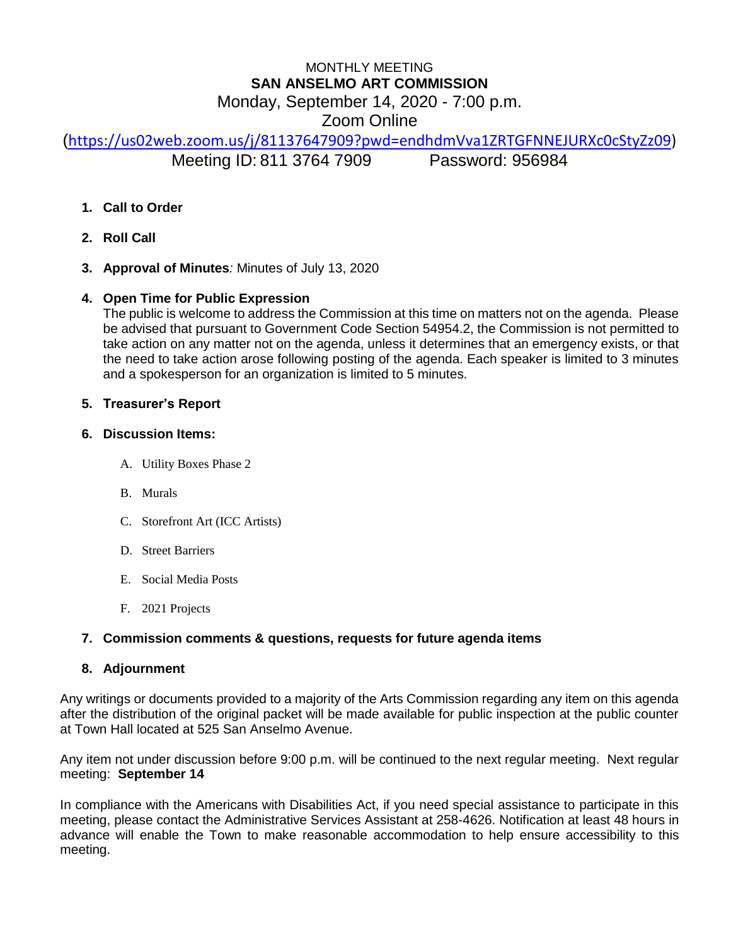# MONTHLY MEETING **SAN ANSELMO ART COMMISSION** Monday, September 14, 2020 - 7:00 p.m. Zoom Online

([https://us02web.zoom.us/j/81137647909?pwd=endhdmVva1ZRTGFNNEJURXc0cStyZz09\)](https://us02web.zoom.us/j/81137647909?pwd=endhdmVva1ZRTGFNNEJURXc0cStyZz09) Meeting ID: 811 3764 7909 Password: 956984

- **1. Call to Order**
- **2. Roll Call**
- **3. Approval of Minutes***:* Minutes of July 13, 2020

# **4. Open Time for Public Expression**

The public is welcome to address the Commission at this time on matters not on the agenda. Please be advised that pursuant to Government Code Section 54954.2, the Commission is not permitted to take action on any matter not on the agenda, unless it determines that an emergency exists, or that the need to take action arose following posting of the agenda. Each speaker is limited to 3 minutes and a spokesperson for an organization is limited to 5 minutes.

## **5. Treasurer's Report**

# **6. Discussion Items:**

- A. Utility Boxes Phase 2
- B. Murals
- C. Storefront Art (ICC Artists)
- D. Street Barriers
- E. Social Media Posts
- F. 2021 Projects

## **7. Commission comments & questions, requests for future agenda items**

## **8. Adjournment**

Any writings or documents provided to a majority of the Arts Commission regarding any item on this agenda after the distribution of the original packet will be made available for public inspection at the public counter at Town Hall located at 525 San Anselmo Avenue.

Any item not under discussion before 9:00 p.m. will be continued to the next regular meeting. Next regular meeting: **September 14**

In compliance with the Americans with Disabilities Act, if you need special assistance to participate in this meeting, please contact the Administrative Services Assistant at 258-4626. Notification at least 48 hours in advance will enable the Town to make reasonable accommodation to help ensure accessibility to this meeting.